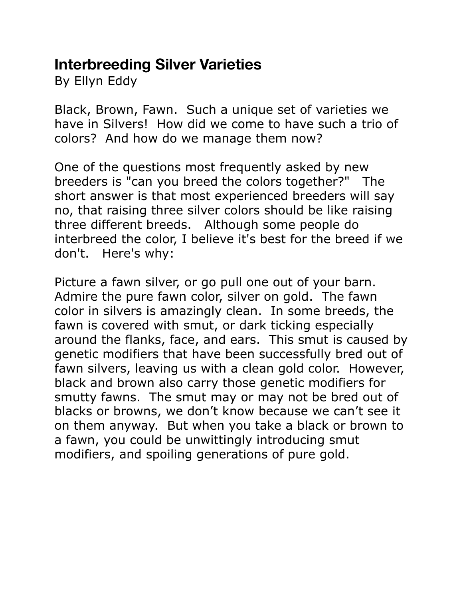## **Interbreeding Silver Varieties**

By Ellyn Eddy

Black, Brown, Fawn. Such a unique set of varieties we have in Silvers! How did we come to have such a trio of colors? And how do we manage them now?

One of the questions most frequently asked by new breeders is "can you breed the colors together?" The short answer is that most experienced breeders will say no, that raising three silver colors should be like raising three different breeds. Although some people do interbreed the color, I believe it's best for the breed if we don't. Here's why:

Picture a fawn silver, or go pull one out of your barn. Admire the pure fawn color, silver on gold. The fawn color in silvers is amazingly clean. In some breeds, the fawn is covered with smut, or dark ticking especially around the flanks, face, and ears. This smut is caused by genetic modifiers that have been successfully bred out of fawn silvers, leaving us with a clean gold color. However, black and brown also carry those genetic modifiers for smutty fawns. The smut may or may not be bred out of blacks or browns, we don't know because we can't see it on them anyway. But when you take a black or brown to a fawn, you could be unwittingly introducing smut modifiers, and spoiling generations of pure gold.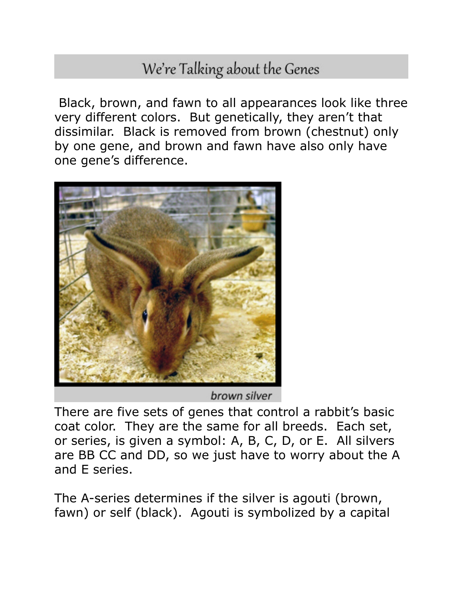## We're Talking about the Genes

 Black, brown, and fawn to all appearances look like three very different colors. But genetically, they aren't that dissimilar. Black is removed from brown (chestnut) only by one gene, and brown and fawn have also only have one gene's difference.



brown silver

There are five sets of genes that control a rabbit's basic coat color. They are the same for all breeds. Each set, or series, is given a symbol: A, B, C, D, or E. All silvers are BB CC and DD, so we just have to worry about the A and E series.

The A-series determines if the silver is agouti (brown, fawn) or self (black). Agouti is symbolized by a capital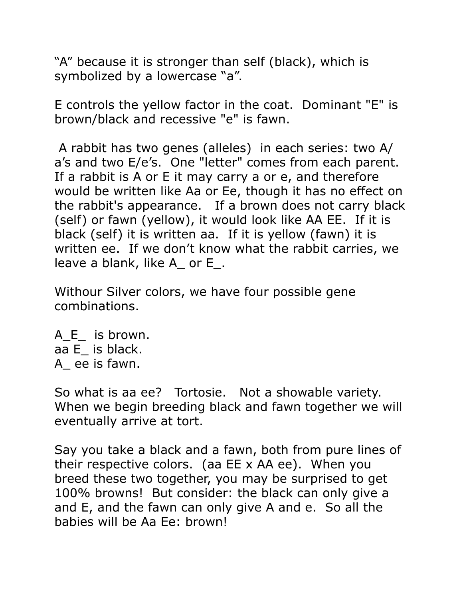"A" because it is stronger than self (black), which is symbolized by a lowercase "a".

E controls the yellow factor in the coat. Dominant "E" is brown/black and recessive "e" is fawn.

 A rabbit has two genes (alleles) in each series: two A/ a's and two E/e's. One "letter" comes from each parent. If a rabbit is A or E it may carry a or e, and therefore would be written like Aa or Ee, though it has no effect on the rabbit's appearance. If a brown does not carry black (self) or fawn (yellow), it would look like AA EE. If it is black (self) it is written aa. If it is yellow (fawn) it is written ee. If we don't know what the rabbit carries, we leave a blank, like A\_ or E\_.

Withour Silver colors, we have four possible gene combinations.

A E is brown. aa E\_ is black. A\_ ee is fawn.

So what is aa ee? Tortosie. Not a showable variety. When we begin breeding black and fawn together we will eventually arrive at tort.

Say you take a black and a fawn, both from pure lines of their respective colors. (aa EE x AA ee). When you breed these two together, you may be surprised to get 100% browns! But consider: the black can only give a and E, and the fawn can only give A and e. So all the babies will be Aa Ee: brown!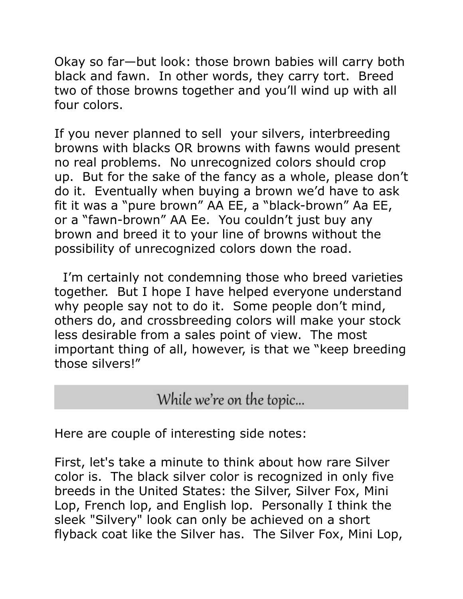Okay so far—but look: those brown babies will carry both black and fawn. In other words, they carry tort. Breed two of those browns together and you'll wind up with all four colors.

If you never planned to sell your silvers, interbreeding browns with blacks OR browns with fawns would present no real problems. No unrecognized colors should crop up. But for the sake of the fancy as a whole, please don't do it. Eventually when buying a brown we'd have to ask fit it was a "pure brown" AA EE, a "black-brown" Aa EE, or a "fawn-brown" AA Ee. You couldn't just buy any brown and breed it to your line of browns without the possibility of unrecognized colors down the road.

 I'm certainly not condemning those who breed varieties together. But I hope I have helped everyone understand why people say not to do it. Some people don't mind, others do, and crossbreeding colors will make your stock less desirable from a sales point of view. The most important thing of all, however, is that we "keep breeding those silvers!"

## While we're on the topic...

Here are couple of interesting side notes:

First, let's take a minute to think about how rare Silver color is. The black silver color is recognized in only five breeds in the United States: the Silver, Silver Fox, Mini Lop, French lop, and English lop. Personally I think the sleek "Silvery" look can only be achieved on a short flyback coat like the Silver has. The Silver Fox, Mini Lop,